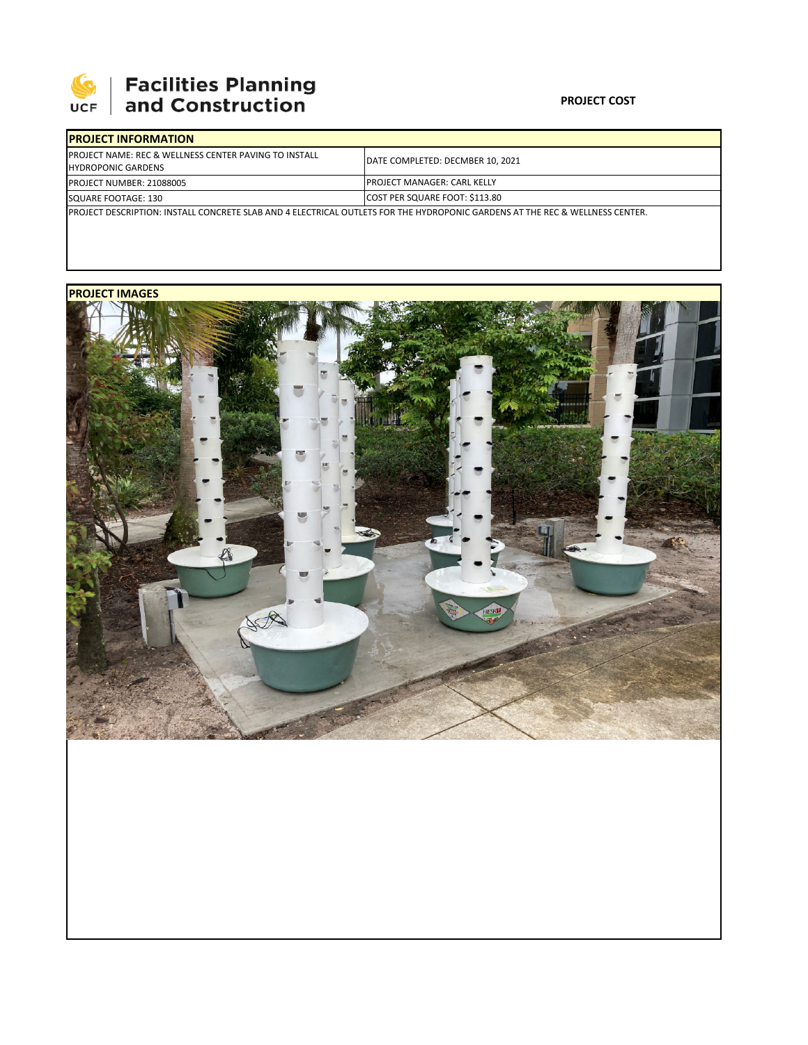

## 

## **PROJECT COST**

| <b>IPROJECT INFORMATION</b>                                                                                                   |                                     |  |  |  |
|-------------------------------------------------------------------------------------------------------------------------------|-------------------------------------|--|--|--|
| <b>PROJECT NAME: REC &amp; WELLNESS CENTER PAVING TO INSTALL</b><br><b>HYDROPONIC GARDENS</b>                                 | DATE COMPLETED: DECMBER 10, 2021    |  |  |  |
| <b>PROJECT NUMBER: 21088005</b>                                                                                               | <b>IPROJECT MANAGER: CARL KELLY</b> |  |  |  |
| SQUARE FOOTAGE: 130                                                                                                           | COST PER SQUARE FOOT: \$113.80      |  |  |  |
| IPROJECT DESCRIPTION: INSTALL CONCRETE SLAB AND 4 ELECTRICAL OUTLETS FOR THE HYDROPONIC GARDENS AT THE REC & WELLNESS CENTER. |                                     |  |  |  |